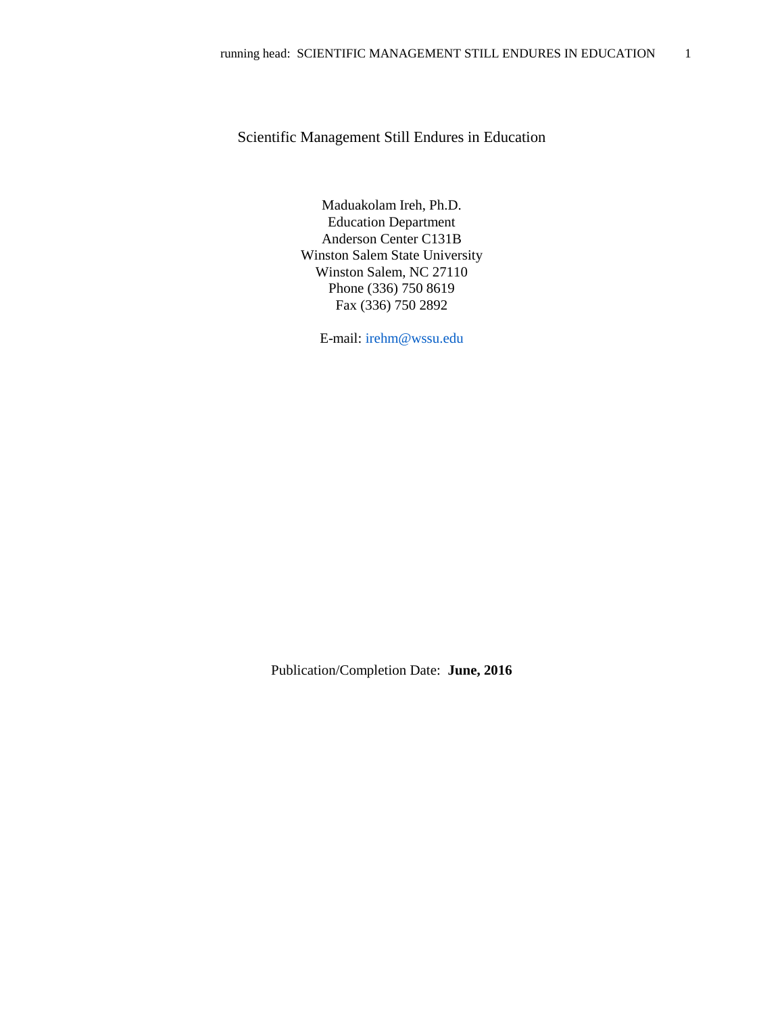# Scientific Management Still Endures in Education

Maduakolam Ireh, Ph.D. Education Department Anderson Center C131B Winston Salem State University Winston Salem, NC 27110 Phone (336) 750 8619 Fax (336) 750 2892

E-mail: [irehm@wssu.edu](mailto:irehm@wssu.edu)

Publication/Completion Date: **June, 2016**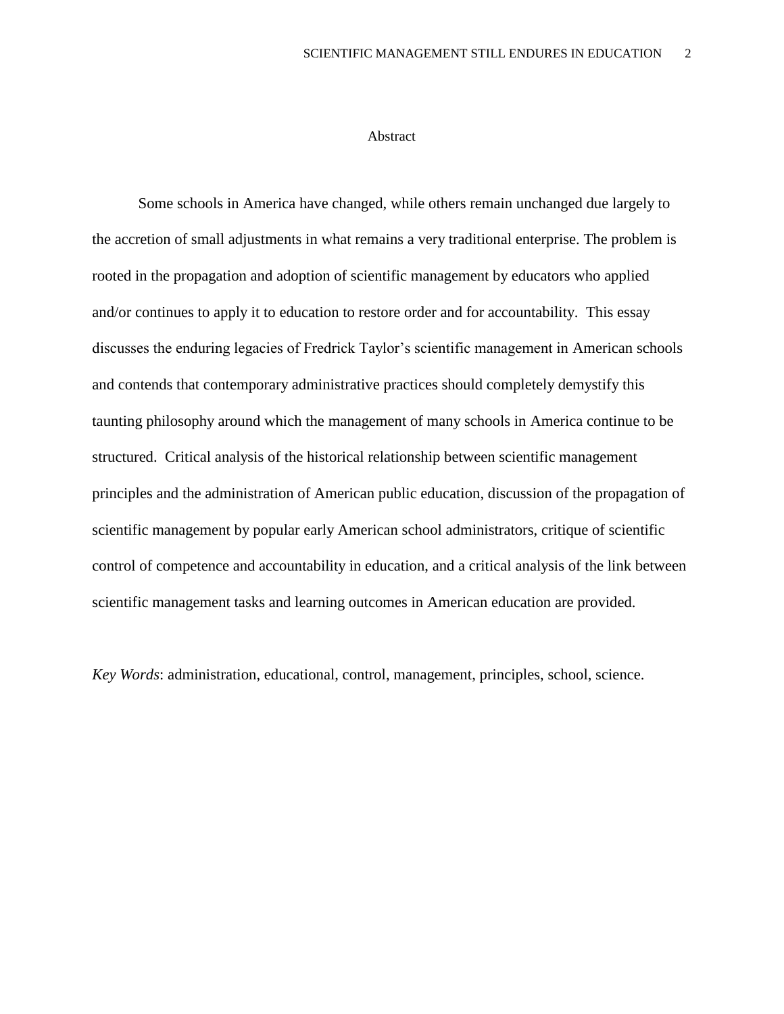## Abstract

Some schools in America have changed, while others remain unchanged due largely to the accretion of small adjustments in what remains a very traditional enterprise. The problem is rooted in the propagation and adoption of scientific management by educators who applied and/or continues to apply it to education to restore order and for accountability. This essay discusses the enduring legacies of Fredrick Taylor's scientific management in American schools and contends that contemporary administrative practices should completely demystify this taunting philosophy around which the management of many schools in America continue to be structured. Critical analysis of the historical relationship between scientific management principles and the administration of American public education, discussion of the propagation of scientific management by popular early American school administrators, critique of scientific control of competence and accountability in education, and a critical analysis of the link between scientific management tasks and learning outcomes in American education are provided.

*Key Words*: administration, educational, control, management, principles, school, science.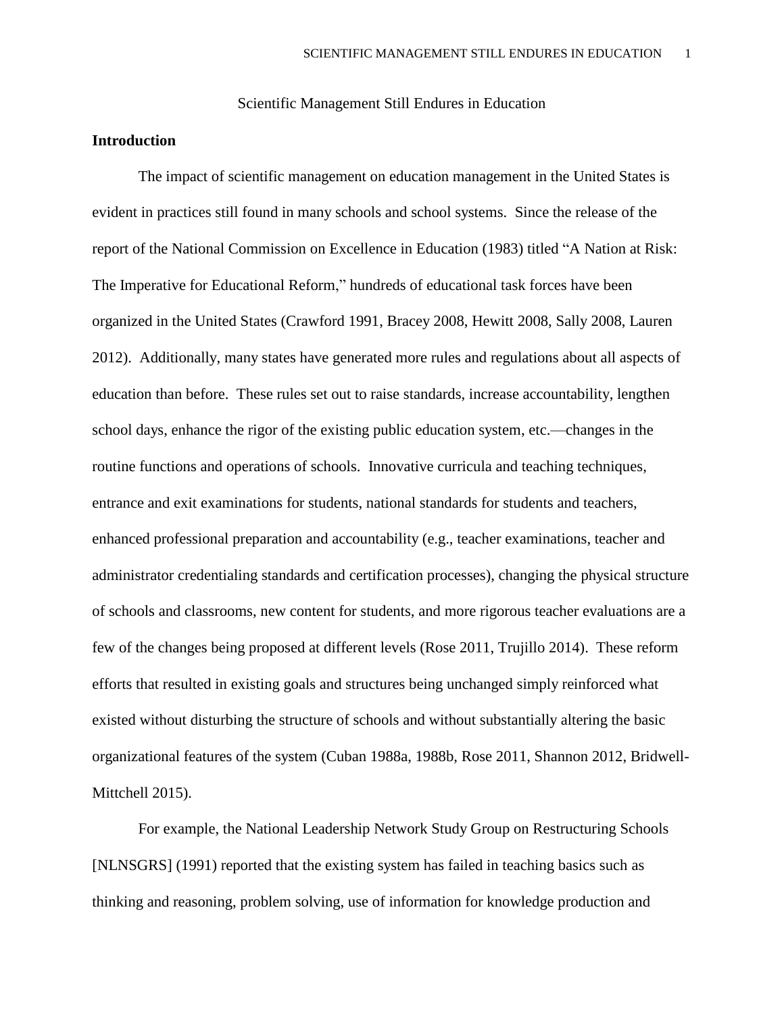Scientific Management Still Endures in Education

## **Introduction**

The impact of scientific management on education management in the United States is evident in practices still found in many schools and school systems. Since the release of the report of the National Commission on Excellence in Education (1983) titled "A Nation at Risk: The Imperative for Educational Reform," hundreds of educational task forces have been organized in the United States (Crawford 1991, Bracey 2008, Hewitt 2008, Sally 2008, Lauren 2012). Additionally, many states have generated more rules and regulations about all aspects of education than before. These rules set out to raise standards, increase accountability, lengthen school days, enhance the rigor of the existing public education system, etc.—changes in the routine functions and operations of schools. Innovative curricula and teaching techniques, entrance and exit examinations for students, national standards for students and teachers, enhanced professional preparation and accountability (e.g., teacher examinations, teacher and administrator credentialing standards and certification processes), changing the physical structure of schools and classrooms, new content for students, and more rigorous teacher evaluations are a few of the changes being proposed at different levels (Rose 2011, Trujillo 2014). These reform efforts that resulted in existing goals and structures being unchanged simply reinforced what existed without disturbing the structure of schools and without substantially altering the basic organizational features of the system (Cuban 1988a, 1988b, Rose 2011, Shannon 2012, Bridwell-Mittchell 2015).

For example, the National Leadership Network Study Group on Restructuring Schools [NLNSGRS] (1991) reported that the existing system has failed in teaching basics such as thinking and reasoning, problem solving, use of information for knowledge production and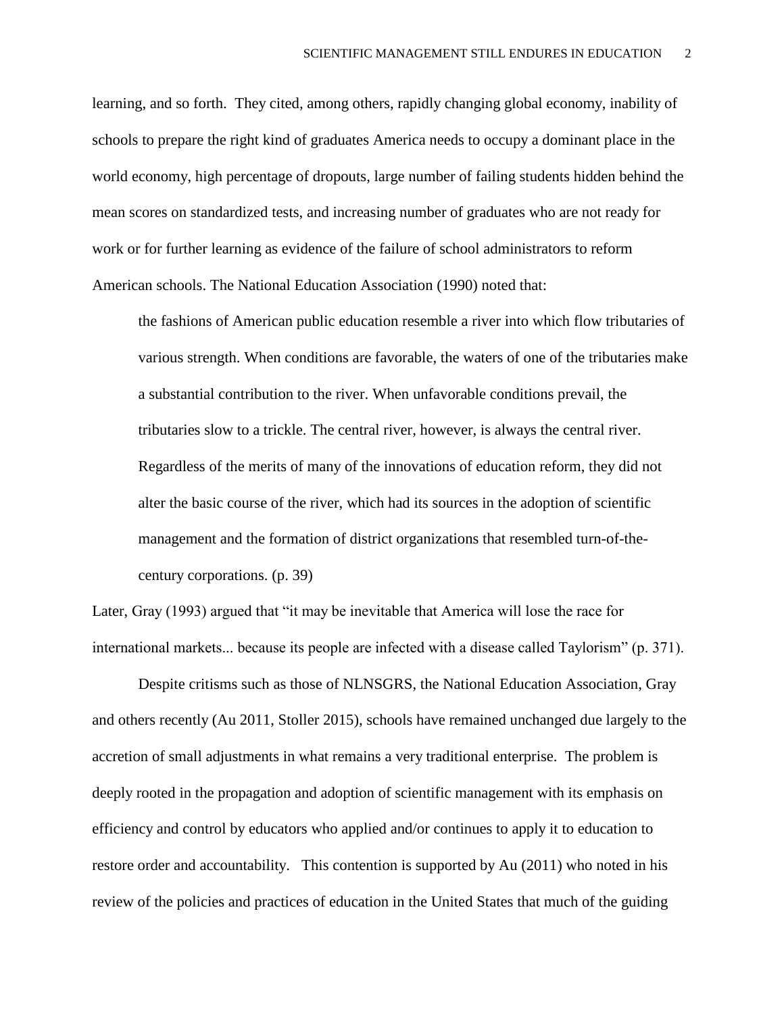learning, and so forth. They cited, among others, rapidly changing global economy, inability of schools to prepare the right kind of graduates America needs to occupy a dominant place in the world economy, high percentage of dropouts, large number of failing students hidden behind the mean scores on standardized tests, and increasing number of graduates who are not ready for work or for further learning as evidence of the failure of school administrators to reform American schools. The National Education Association (1990) noted that:

the fashions of American public education resemble a river into which flow tributaries of various strength. When conditions are favorable, the waters of one of the tributaries make a substantial contribution to the river. When unfavorable conditions prevail, the tributaries slow to a trickle. The central river, however, is always the central river. Regardless of the merits of many of the innovations of education reform, they did not alter the basic course of the river, which had its sources in the adoption of scientific management and the formation of district organizations that resembled turn-of-thecentury corporations. (p. 39)

Later, Gray (1993) argued that "it may be inevitable that America will lose the race for international markets... because its people are infected with a disease called Taylorism" (p. 371).

Despite critisms such as those of NLNSGRS, the National Education Association, Gray and others recently (Au 2011, Stoller 2015), schools have remained unchanged due largely to the accretion of small adjustments in what remains a very traditional enterprise. The problem is deeply rooted in the propagation and adoption of scientific management with its emphasis on efficiency and control by educators who applied and/or continues to apply it to education to restore order and accountability. This contention is supported by Au (2011) who noted in his review of the policies and practices of education in the United States that much of the guiding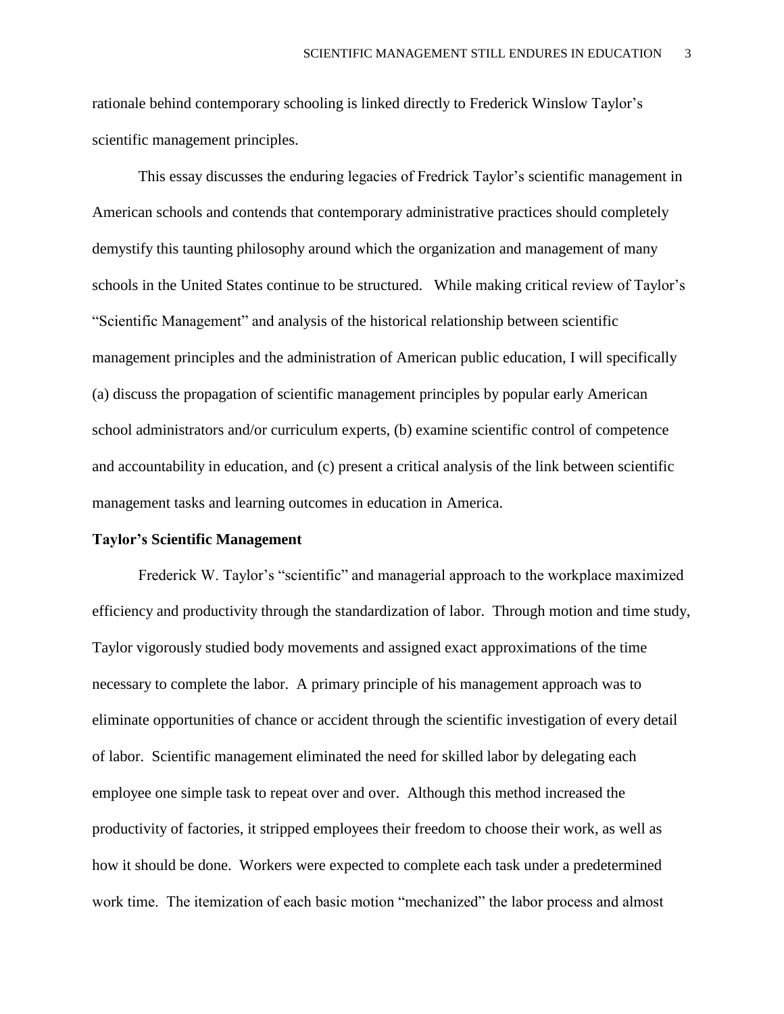rationale behind contemporary schooling is linked directly to Frederick Winslow Taylor's scientific management principles.

This essay discusses the enduring legacies of Fredrick Taylor's scientific management in American schools and contends that contemporary administrative practices should completely demystify this taunting philosophy around which the organization and management of many schools in the United States continue to be structured. While making critical review of Taylor's "Scientific Management" and analysis of the historical relationship between scientific management principles and the administration of American public education, I will specifically (a) discuss the propagation of scientific management principles by popular early American school administrators and/or curriculum experts, (b) examine scientific control of competence and accountability in education, and (c) present a critical analysis of the link between scientific management tasks and learning outcomes in education in America.

#### **Taylor's Scientific Management**

Frederick W. Taylor's "scientific" and managerial approach to the workplace maximized efficiency and productivity through the standardization of labor. Through motion and time study, Taylor vigorously studied body movements and assigned exact approximations of the time necessary to complete the labor. A primary principle of his management approach was to eliminate opportunities of chance or accident through the scientific investigation of every detail of labor. Scientific management eliminated the need for skilled labor by delegating each employee one simple task to repeat over and over. Although this method increased the productivity of factories, it stripped employees their freedom to choose their work, as well as how it should be done. Workers were expected to complete each task under a predetermined work time. The itemization of each basic motion "mechanized" the labor process and almost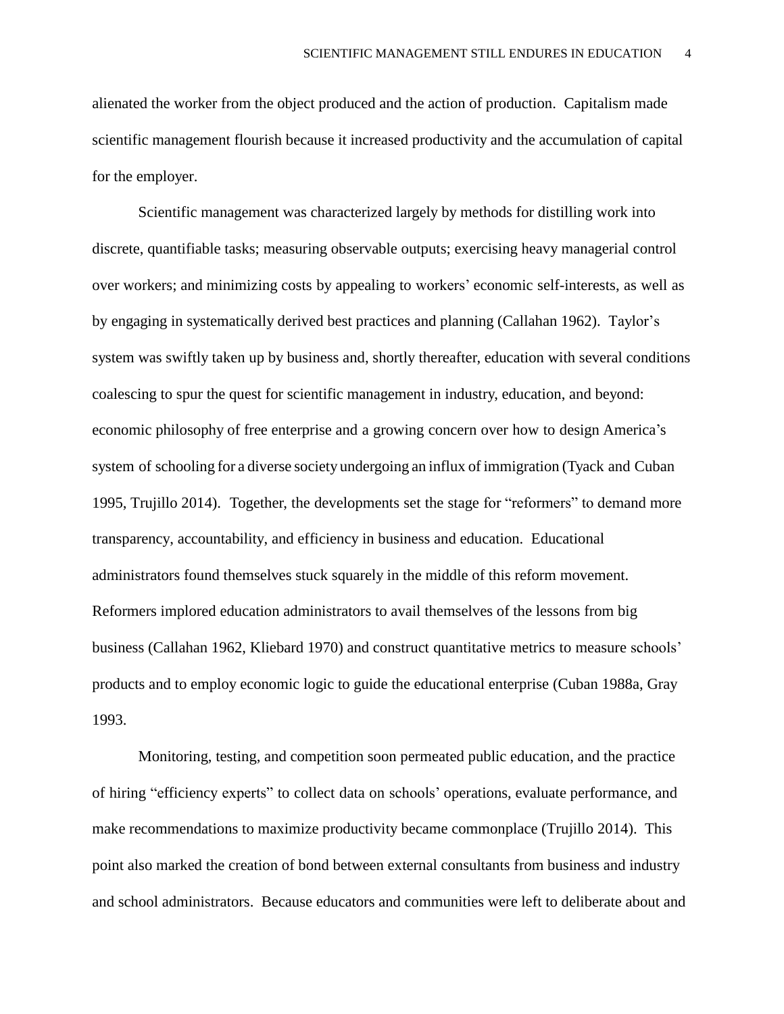alienated the worker from the object produced and the action of production. Capitalism made scientific management flourish because it increased productivity and the accumulation of capital for the employer.

Scientific management was characterized largely by methods for distilling work into discrete, quantifiable tasks; measuring observable outputs; exercising heavy managerial control over workers; and minimizing costs by appealing to workers' economic self-interests, as well as by engaging in systematically derived best practices and planning (Callahan 1962). Taylor's system was swiftly taken up by business and, shortly thereafter, education with several conditions coalescing to spur the quest for scientific management in industry, education, and beyond: economic philosophy of free enterprise and a growing concern over how to design America's system of schooling for a diverse society undergoing an influx of immigration (Tyack and Cuban 1995, Trujillo 2014). Together, the developments set the stage for "reformers" to demand more transparency, accountability, and efficiency in business and education. Educational administrators found themselves stuck squarely in the middle of this reform movement. Reformers implored education administrators to avail themselves of the lessons from big business (Callahan 1962, Kliebard 1970) and construct quantitative metrics to measure schools' products and to employ economic logic to guide the educational enterprise (Cuban 1988a, Gray 1993.

Monitoring, testing, and competition soon permeated public education, and the practice of hiring "efficiency experts" to collect data on schools' operations, evaluate performance, and make recommendations to maximize productivity became commonplace (Trujillo 2014). This point also marked the creation of bond between external consultants from business and industry and school administrators. Because educators and communities were left to deliberate about and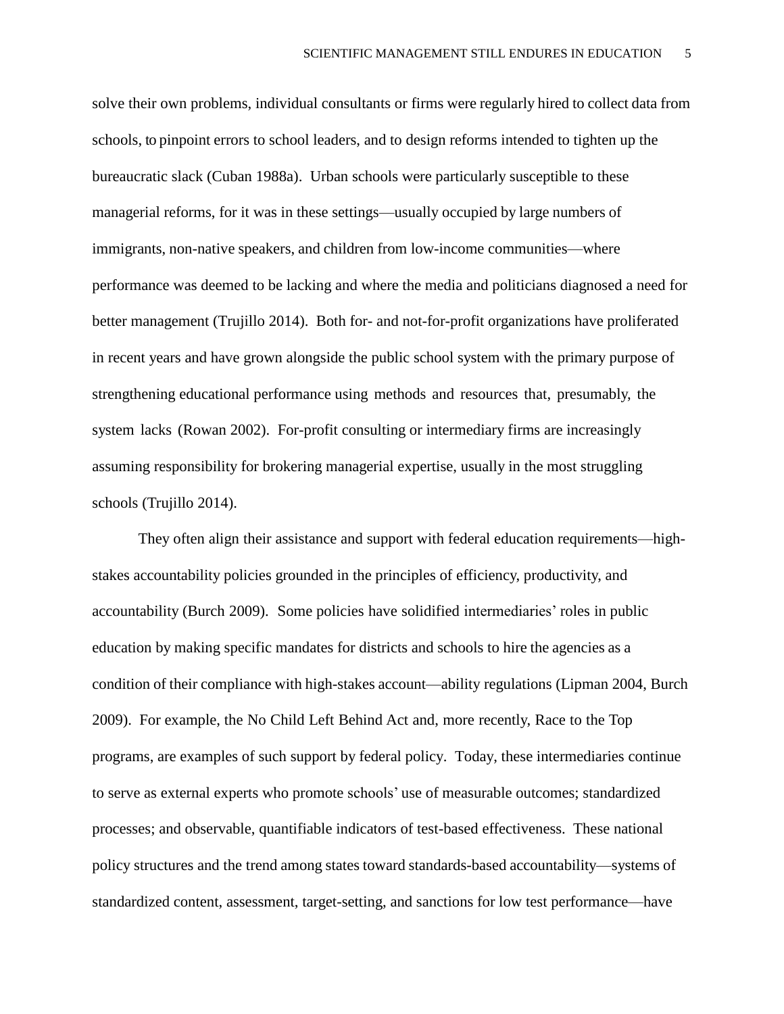solve their own problems, individual consultants or firms were regularly hired to collect data from schools, to pinpoint errors to school leaders, and to design reforms intended to tighten up the bureaucratic slack (Cuban 1988a). Urban schools were particularly susceptible to these managerial reforms, for it was in these settings—usually occupied by large numbers of immigrants, non-native speakers, and children from low-income communities—where performance was deemed to be lacking and where the media and politicians diagnosed a need for better management (Trujillo 2014). Both for- and not-for-profit organizations have proliferated in recent years and have grown alongside the public school system with the primary purpose of strengthening educational performance using methods and resources that, presumably, the system lacks (Rowan 2002). For-profit consulting or intermediary firms are increasingly assuming responsibility for brokering managerial expertise, usually in the most struggling schools (Trujillo 2014).

They often align their assistance and support with federal education requirements—highstakes accountability policies grounded in the principles of efficiency, productivity, and accountability (Burch 2009). Some policies have solidified intermediaries' roles in public education by making specific mandates for districts and schools to hire the agencies as a condition of their compliance with high-stakes account—ability regulations (Lipman 2004, Burch 2009). For example, the No Child Left Behind Act and, more recently, Race to the Top programs, are examples of such support by federal policy. Today, these intermediaries continue to serve as external experts who promote schools' use of measurable outcomes; standardized processes; and observable, quantifiable indicators of test-based effectiveness. These national policy structures and the trend among states toward standards-based accountability—systems of standardized content, assessment, target-setting, and sanctions for low test performance—have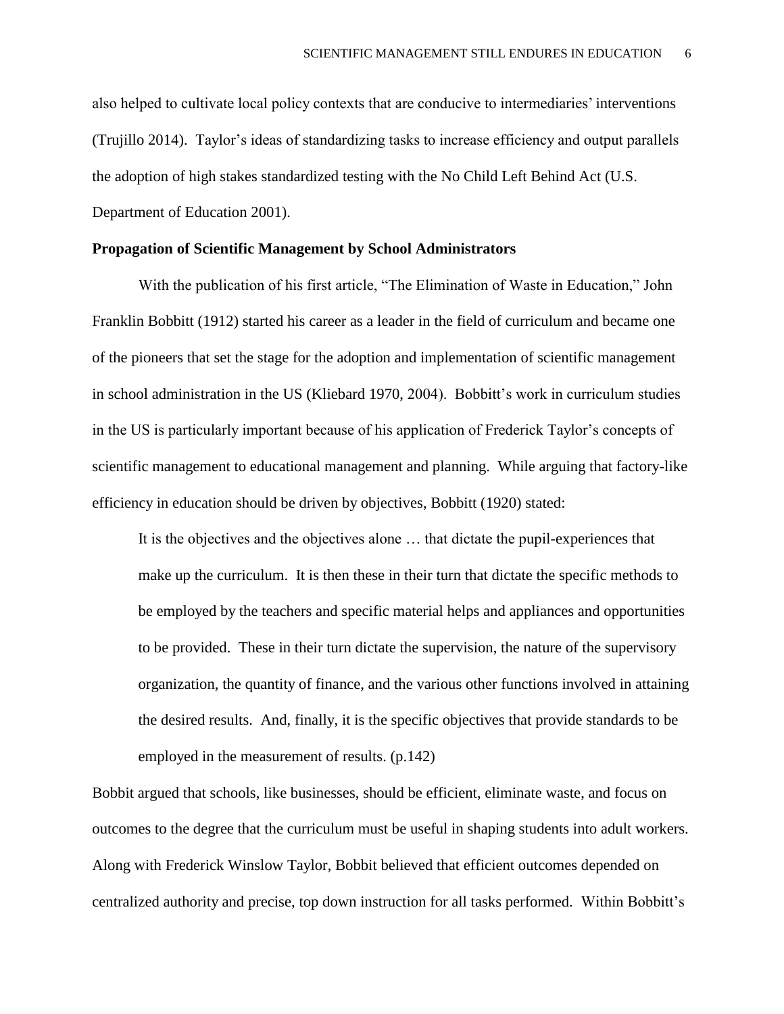also helped to cultivate local policy contexts that are conducive to intermediaries' interventions (Trujillo 2014). Taylor's ideas of standardizing tasks to increase efficiency and output parallels the adoption of high stakes standardized testing with the No Child Left Behind Act (U.S. Department of Education 2001).

## **Propagation of Scientific Management by School Administrators**

With the publication of his first article, "The Elimination of Waste in Education," John Franklin Bobbitt (1912) started his career as a leader in the field of curriculum and became one of the pioneers that set the stage for the adoption and implementation of scientific management in school administration in the US (Kliebard 1970, 2004). Bobbitt's work in curriculum studies in the US is particularly important because of his application of Frederick Taylor's concepts of scientific management to educational management and planning. While arguing that factory-like efficiency in education should be driven by objectives, Bobbitt (1920) stated:

It is the objectives and the objectives alone … that dictate the pupil-experiences that make up the curriculum. It is then these in their turn that dictate the specific methods to be employed by the teachers and specific material helps and appliances and opportunities to be provided. These in their turn dictate the supervision, the nature of the supervisory organization, the quantity of finance, and the various other functions involved in attaining the desired results. And, finally, it is the specific objectives that provide standards to be employed in the measurement of results. (p.142)

Bobbit argued that schools, like businesses, should be efficient, eliminate waste, and focus on outcomes to the degree that the curriculum must be useful in shaping students into adult workers. Along with Frederick Winslow Taylor, Bobbit believed that efficient outcomes depended on centralized authority and precise, top down instruction for all tasks performed. Within Bobbitt's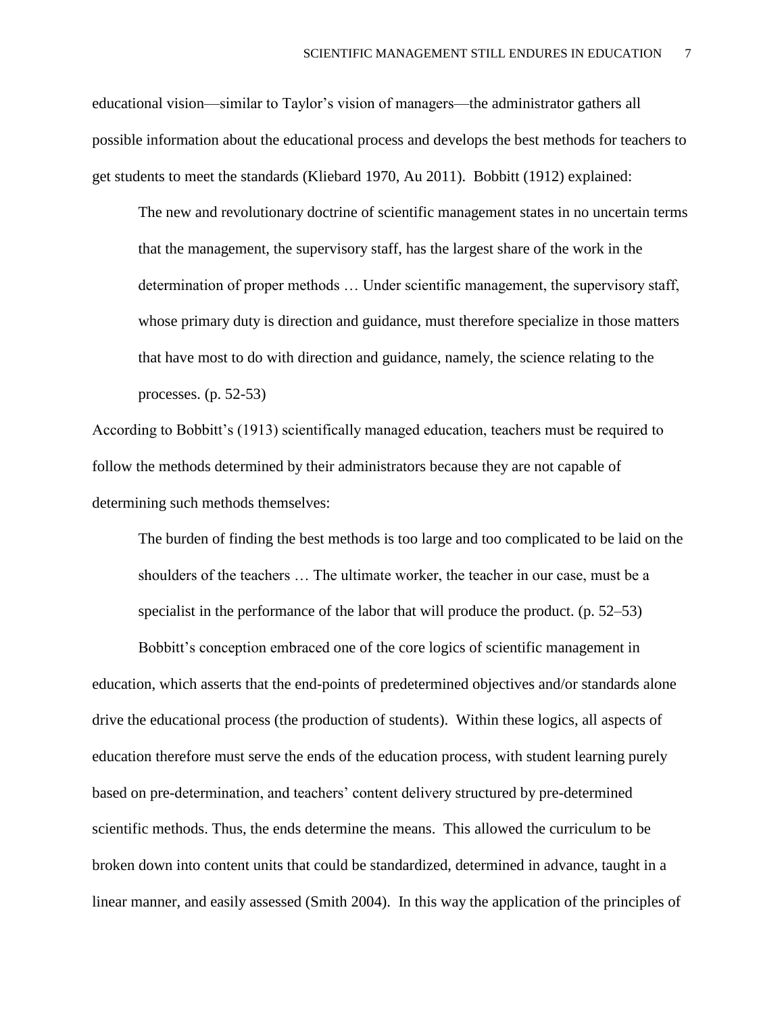educational vision—similar to Taylor's vision of managers—the administrator gathers all possible information about the educational process and develops the best methods for teachers to get students to meet the standards (Kliebard 1970, Au 2011). Bobbitt (1912) explained:

The new and revolutionary doctrine of scientific management states in no uncertain terms that the management, the supervisory staff, has the largest share of the work in the determination of proper methods … Under scientific management, the supervisory staff, whose primary duty is direction and guidance, must therefore specialize in those matters that have most to do with direction and guidance, namely, the science relating to the processes. (p. 52-53)

According to Bobbitt's (1913) scientifically managed education, teachers must be required to follow the methods determined by their administrators because they are not capable of determining such methods themselves:

The burden of finding the best methods is too large and too complicated to be laid on the shoulders of the teachers … The ultimate worker, the teacher in our case, must be a specialist in the performance of the labor that will produce the product. (p. 52–53)

Bobbitt's conception embraced one of the core logics of scientific management in education, which asserts that the end-points of predetermined objectives and/or standards alone drive the educational process (the production of students). Within these logics, all aspects of education therefore must serve the ends of the education process, with student learning purely based on pre-determination, and teachers' content delivery structured by pre-determined scientific methods. Thus, the ends determine the means. This allowed the curriculum to be broken down into content units that could be standardized, determined in advance, taught in a linear manner, and easily assessed (Smith 2004). In this way the application of the principles of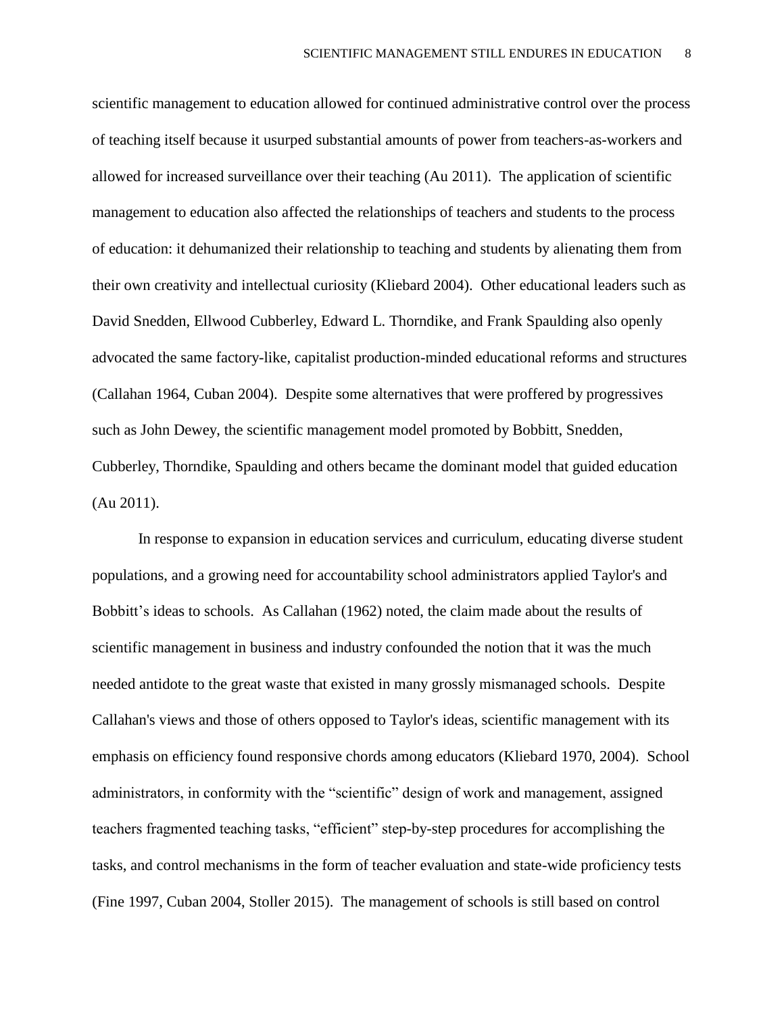scientific management to education allowed for continued administrative control over the process of teaching itself because it usurped substantial amounts of power from teachers-as-workers and allowed for increased surveillance over their teaching (Au 2011). The application of scientific management to education also affected the relationships of teachers and students to the process of education: it dehumanized their relationship to teaching and students by alienating them from their own creativity and intellectual curiosity (Kliebard 2004). Other educational leaders such as David Snedden, Ellwood Cubberley, Edward L. Thorndike, and Frank Spaulding also openly advocated the same factory-like, capitalist production-minded educational reforms and structures (Callahan 1964, Cuban 2004). Despite some alternatives that were proffered by progressives such as John Dewey, the scientific management model promoted by Bobbitt, Snedden, Cubberley, Thorndike, Spaulding and others became the dominant model that guided education (Au 2011).

In response to expansion in education services and curriculum, educating diverse student populations, and a growing need for accountability school administrators applied Taylor's and Bobbitt's ideas to schools. As Callahan (1962) noted, the claim made about the results of scientific management in business and industry confounded the notion that it was the much needed antidote to the great waste that existed in many grossly mismanaged schools. Despite Callahan's views and those of others opposed to Taylor's ideas, scientific management with its emphasis on efficiency found responsive chords among educators (Kliebard 1970, 2004). School administrators, in conformity with the "scientific" design of work and management, assigned teachers fragmented teaching tasks, "efficient" step-by-step procedures for accomplishing the tasks, and control mechanisms in the form of teacher evaluation and state-wide proficiency tests (Fine 1997, Cuban 2004, Stoller 2015). The management of schools is still based on control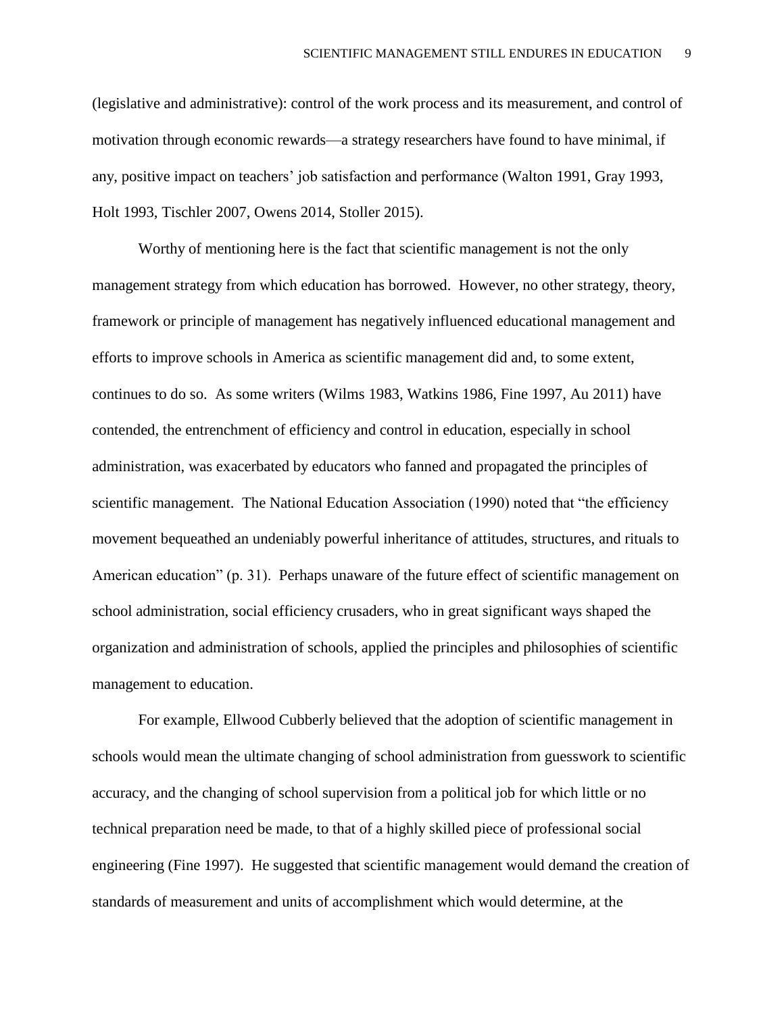(legislative and administrative): control of the work process and its measurement, and control of motivation through economic rewards—a strategy researchers have found to have minimal, if any, positive impact on teachers' job satisfaction and performance (Walton 1991, Gray 1993, Holt 1993, Tischler 2007, Owens 2014, Stoller 2015).

Worthy of mentioning here is the fact that scientific management is not the only management strategy from which education has borrowed. However, no other strategy, theory, framework or principle of management has negatively influenced educational management and efforts to improve schools in America as scientific management did and, to some extent, continues to do so. As some writers (Wilms 1983, Watkins 1986, Fine 1997, Au 2011) have contended, the entrenchment of efficiency and control in education, especially in school administration, was exacerbated by educators who fanned and propagated the principles of scientific management. The National Education Association (1990) noted that "the efficiency movement bequeathed an undeniably powerful inheritance of attitudes, structures, and rituals to American education" (p. 31). Perhaps unaware of the future effect of scientific management on school administration, social efficiency crusaders, who in great significant ways shaped the organization and administration of schools, applied the principles and philosophies of scientific management to education.

For example, Ellwood Cubberly believed that the adoption of scientific management in schools would mean the ultimate changing of school administration from guesswork to scientific accuracy, and the changing of school supervision from a political job for which little or no technical preparation need be made, to that of a highly skilled piece of professional social engineering (Fine 1997). He suggested that scientific management would demand the creation of standards of measurement and units of accomplishment which would determine, at the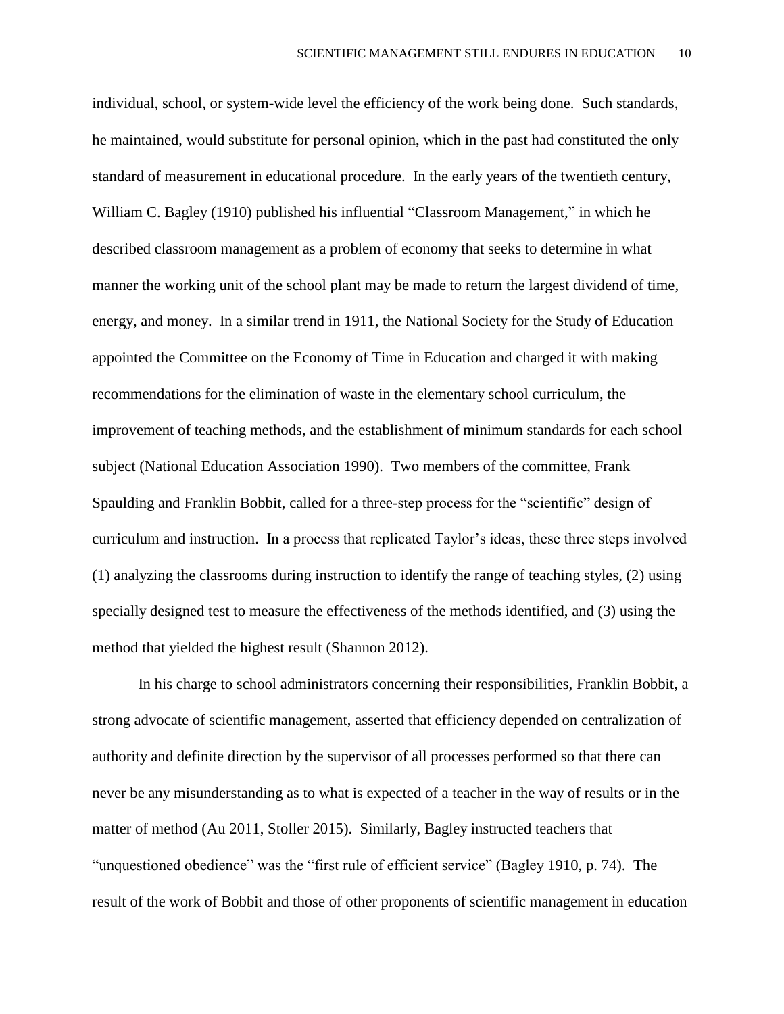individual, school, or system-wide level the efficiency of the work being done. Such standards, he maintained, would substitute for personal opinion, which in the past had constituted the only standard of measurement in educational procedure. In the early years of the twentieth century, William C. Bagley (1910) published his influential "Classroom Management," in which he described classroom management as a problem of economy that seeks to determine in what manner the working unit of the school plant may be made to return the largest dividend of time, energy, and money. In a similar trend in 1911, the National Society for the Study of Education appointed the Committee on the Economy of Time in Education and charged it with making recommendations for the elimination of waste in the elementary school curriculum, the improvement of teaching methods, and the establishment of minimum standards for each school subject (National Education Association 1990). Two members of the committee, Frank Spaulding and Franklin Bobbit, called for a three-step process for the "scientific" design of curriculum and instruction. In a process that replicated Taylor's ideas, these three steps involved (1) analyzing the classrooms during instruction to identify the range of teaching styles, (2) using specially designed test to measure the effectiveness of the methods identified, and (3) using the method that yielded the highest result (Shannon 2012).

In his charge to school administrators concerning their responsibilities, Franklin Bobbit, a strong advocate of scientific management, asserted that efficiency depended on centralization of authority and definite direction by the supervisor of all processes performed so that there can never be any misunderstanding as to what is expected of a teacher in the way of results or in the matter of method (Au 2011, Stoller 2015). Similarly, Bagley instructed teachers that "unquestioned obedience" was the "first rule of efficient service" (Bagley 1910, p. 74). The result of the work of Bobbit and those of other proponents of scientific management in education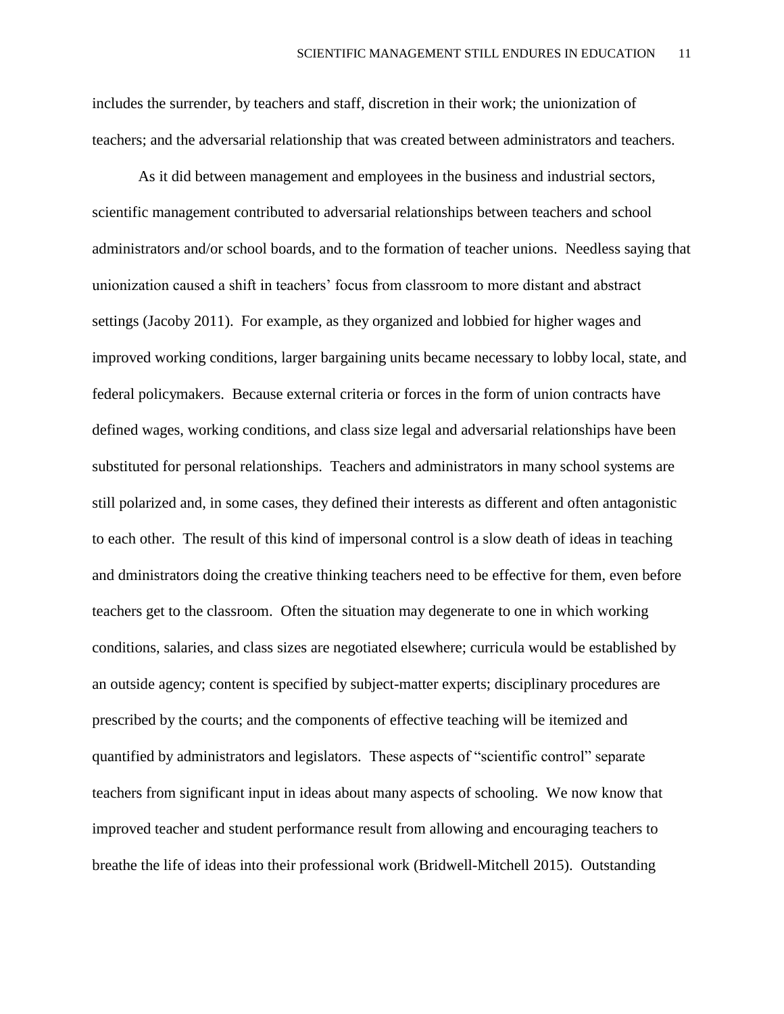includes the surrender, by teachers and staff, discretion in their work; the unionization of teachers; and the adversarial relationship that was created between administrators and teachers.

As it did between management and employees in the business and industrial sectors, scientific management contributed to adversarial relationships between teachers and school administrators and/or school boards, and to the formation of teacher unions. Needless saying that unionization caused a shift in teachers' focus from classroom to more distant and abstract settings (Jacoby 2011). For example, as they organized and lobbied for higher wages and improved working conditions, larger bargaining units became necessary to lobby local, state, and federal policymakers. Because external criteria or forces in the form of union contracts have defined wages, working conditions, and class size legal and adversarial relationships have been substituted for personal relationships. Teachers and administrators in many school systems are still polarized and, in some cases, they defined their interests as different and often antagonistic to each other. The result of this kind of impersonal control is a slow death of ideas in teaching and dministrators doing the creative thinking teachers need to be effective for them, even before teachers get to the classroom. Often the situation may degenerate to one in which working conditions, salaries, and class sizes are negotiated elsewhere; curricula would be established by an outside agency; content is specified by subject-matter experts; disciplinary procedures are prescribed by the courts; and the components of effective teaching will be itemized and quantified by administrators and legislators. These aspects of "scientific control" separate teachers from significant input in ideas about many aspects of schooling. We now know that improved teacher and student performance result from allowing and encouraging teachers to breathe the life of ideas into their professional work (Bridwell-Mitchell 2015). Outstanding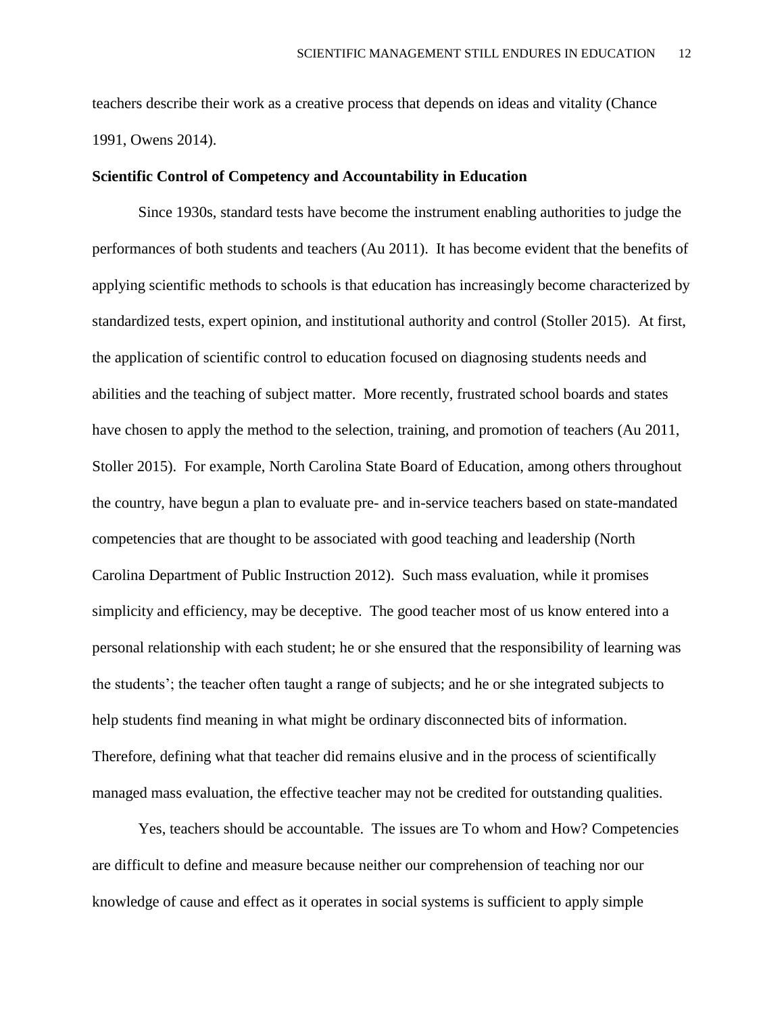teachers describe their work as a creative process that depends on ideas and vitality (Chance 1991, Owens 2014).

### **Scientific Control of Competency and Accountability in Education**

Since 1930s, standard tests have become the instrument enabling authorities to judge the performances of both students and teachers (Au 2011). It has become evident that the benefits of applying scientific methods to schools is that education has increasingly become characterized by standardized tests, expert opinion, and institutional authority and control (Stoller 2015). At first, the application of scientific control to education focused on diagnosing students needs and abilities and the teaching of subject matter. More recently, frustrated school boards and states have chosen to apply the method to the selection, training, and promotion of teachers (Au 2011, Stoller 2015). For example, North Carolina State Board of Education, among others throughout the country, have begun a plan to evaluate pre- and in-service teachers based on state-mandated competencies that are thought to be associated with good teaching and leadership (North Carolina Department of Public Instruction 2012). Such mass evaluation, while it promises simplicity and efficiency, may be deceptive. The good teacher most of us know entered into a personal relationship with each student; he or she ensured that the responsibility of learning was the students'; the teacher often taught a range of subjects; and he or she integrated subjects to help students find meaning in what might be ordinary disconnected bits of information. Therefore, defining what that teacher did remains elusive and in the process of scientifically managed mass evaluation, the effective teacher may not be credited for outstanding qualities.

Yes, teachers should be accountable. The issues are To whom and How? Competencies are difficult to define and measure because neither our comprehension of teaching nor our knowledge of cause and effect as it operates in social systems is sufficient to apply simple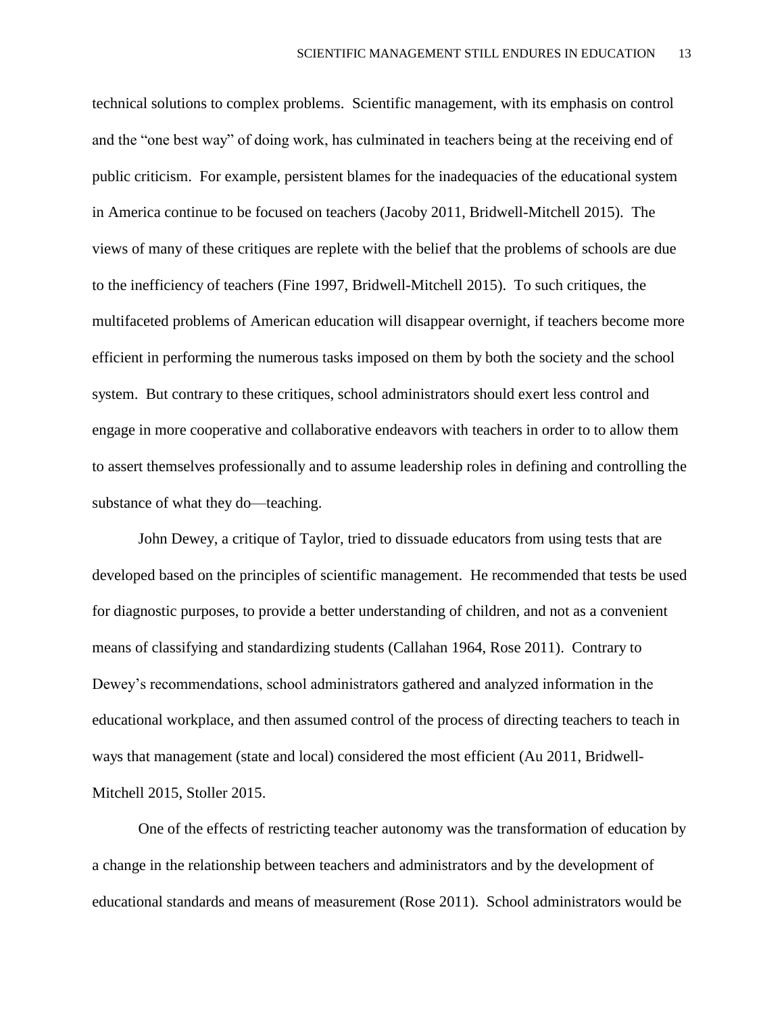technical solutions to complex problems. Scientific management, with its emphasis on control and the "one best way" of doing work, has culminated in teachers being at the receiving end of public criticism. For example, persistent blames for the inadequacies of the educational system in America continue to be focused on teachers (Jacoby 2011, Bridwell-Mitchell 2015). The views of many of these critiques are replete with the belief that the problems of schools are due to the inefficiency of teachers (Fine 1997, Bridwell-Mitchell 2015). To such critiques, the multifaceted problems of American education will disappear overnight, if teachers become more efficient in performing the numerous tasks imposed on them by both the society and the school system. But contrary to these critiques, school administrators should exert less control and engage in more cooperative and collaborative endeavors with teachers in order to to allow them to assert themselves professionally and to assume leadership roles in defining and controlling the substance of what they do—teaching.

John Dewey, a critique of Taylor, tried to dissuade educators from using tests that are developed based on the principles of scientific management. He recommended that tests be used for diagnostic purposes, to provide a better understanding of children, and not as a convenient means of classifying and standardizing students (Callahan 1964, Rose 2011). Contrary to Dewey's recommendations, school administrators gathered and analyzed information in the educational workplace, and then assumed control of the process of directing teachers to teach in ways that management (state and local) considered the most efficient (Au 2011, Bridwell-Mitchell 2015, Stoller 2015.

One of the effects of restricting teacher autonomy was the transformation of education by a change in the relationship between teachers and administrators and by the development of educational standards and means of measurement (Rose 2011). School administrators would be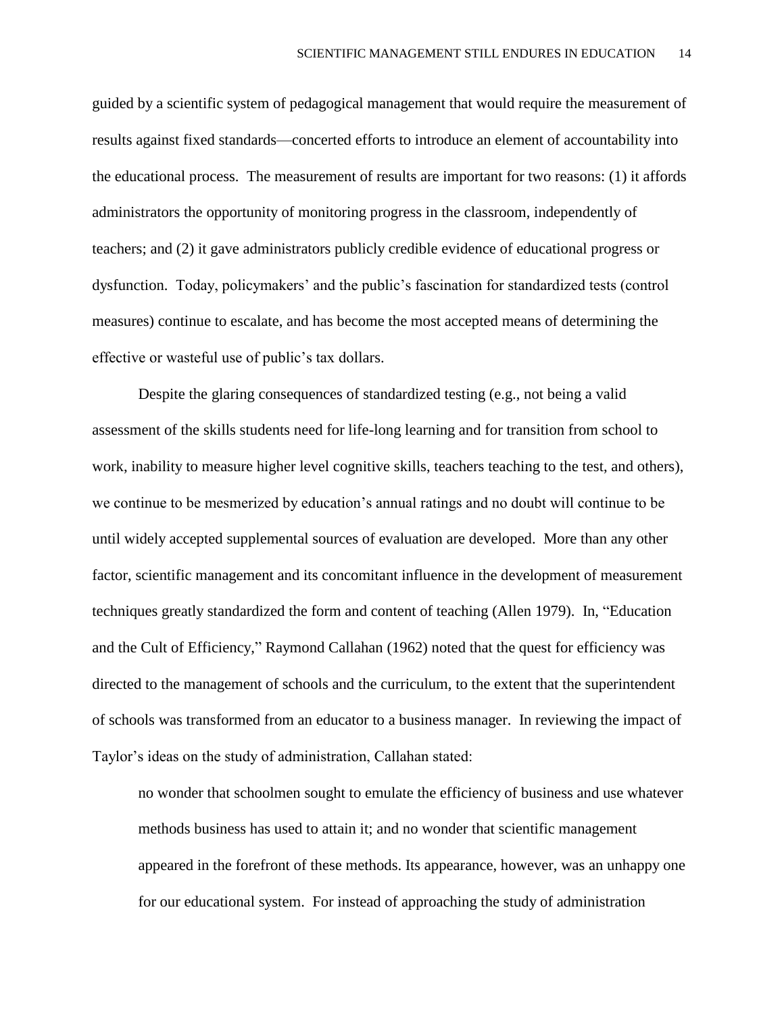guided by a scientific system of pedagogical management that would require the measurement of results against fixed standards—concerted efforts to introduce an element of accountability into the educational process. The measurement of results are important for two reasons: (1) it affords administrators the opportunity of monitoring progress in the classroom, independently of teachers; and (2) it gave administrators publicly credible evidence of educational progress or dysfunction. Today, policymakers' and the public's fascination for standardized tests (control measures) continue to escalate, and has become the most accepted means of determining the effective or wasteful use of public's tax dollars.

Despite the glaring consequences of standardized testing (e.g., not being a valid assessment of the skills students need for life-long learning and for transition from school to work, inability to measure higher level cognitive skills, teachers teaching to the test, and others), we continue to be mesmerized by education's annual ratings and no doubt will continue to be until widely accepted supplemental sources of evaluation are developed. More than any other factor, scientific management and its concomitant influence in the development of measurement techniques greatly standardized the form and content of teaching (Allen 1979). In, "Education and the Cult of Efficiency," Raymond Callahan (1962) noted that the quest for efficiency was directed to the management of schools and the curriculum, to the extent that the superintendent of schools was transformed from an educator to a business manager. In reviewing the impact of Taylor's ideas on the study of administration, Callahan stated:

no wonder that schoolmen sought to emulate the efficiency of business and use whatever methods business has used to attain it; and no wonder that scientific management appeared in the forefront of these methods. Its appearance, however, was an unhappy one for our educational system. For instead of approaching the study of administration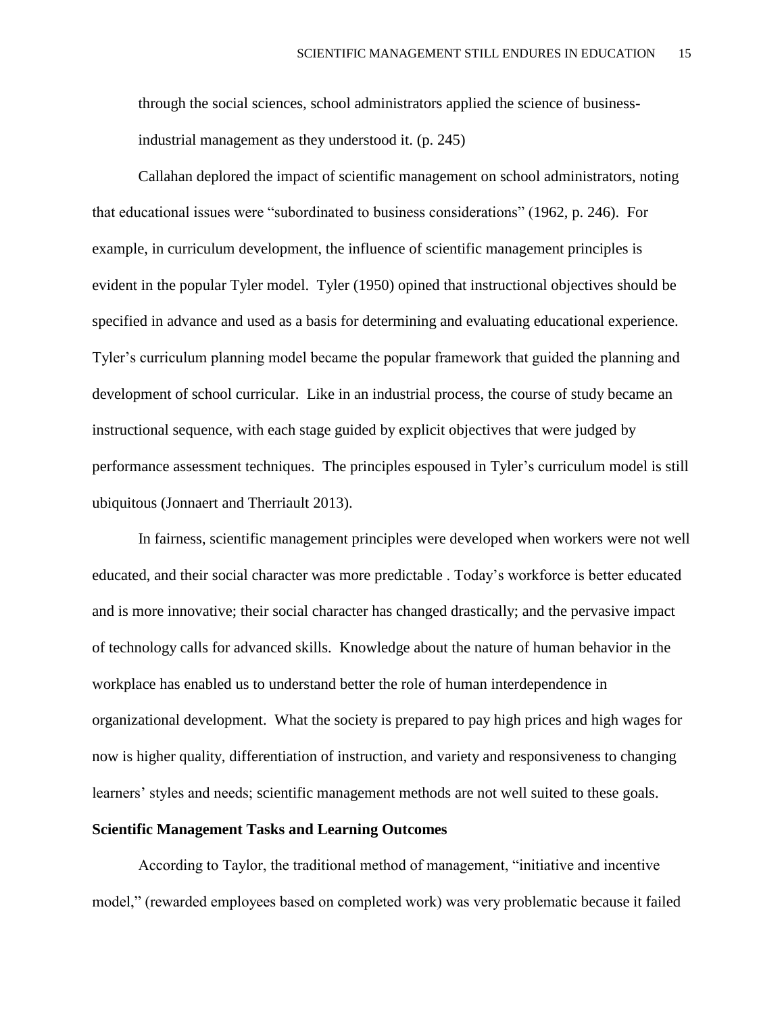through the social sciences, school administrators applied the science of businessindustrial management as they understood it. (p. 245)

Callahan deplored the impact of scientific management on school administrators, noting that educational issues were "subordinated to business considerations" (1962, p. 246). For example, in curriculum development, the influence of scientific management principles is evident in the popular Tyler model. Tyler (1950) opined that instructional objectives should be specified in advance and used as a basis for determining and evaluating educational experience. Tyler's curriculum planning model became the popular framework that guided the planning and development of school curricular. Like in an industrial process, the course of study became an instructional sequence, with each stage guided by explicit objectives that were judged by performance assessment techniques. The principles espoused in Tyler's curriculum model is still ubiquitous (Jonnaert and Therriault 2013).

In fairness, scientific management principles were developed when workers were not well educated, and their social character was more predictable . Today's workforce is better educated and is more innovative; their social character has changed drastically; and the pervasive impact of technology calls for advanced skills. Knowledge about the nature of human behavior in the workplace has enabled us to understand better the role of human interdependence in organizational development. What the society is prepared to pay high prices and high wages for now is higher quality, differentiation of instruction, and variety and responsiveness to changing learners' styles and needs; scientific management methods are not well suited to these goals.

## **Scientific Management Tasks and Learning Outcomes**

According to Taylor, the traditional method of management, "initiative and incentive model," (rewarded employees based on completed work) was very problematic because it failed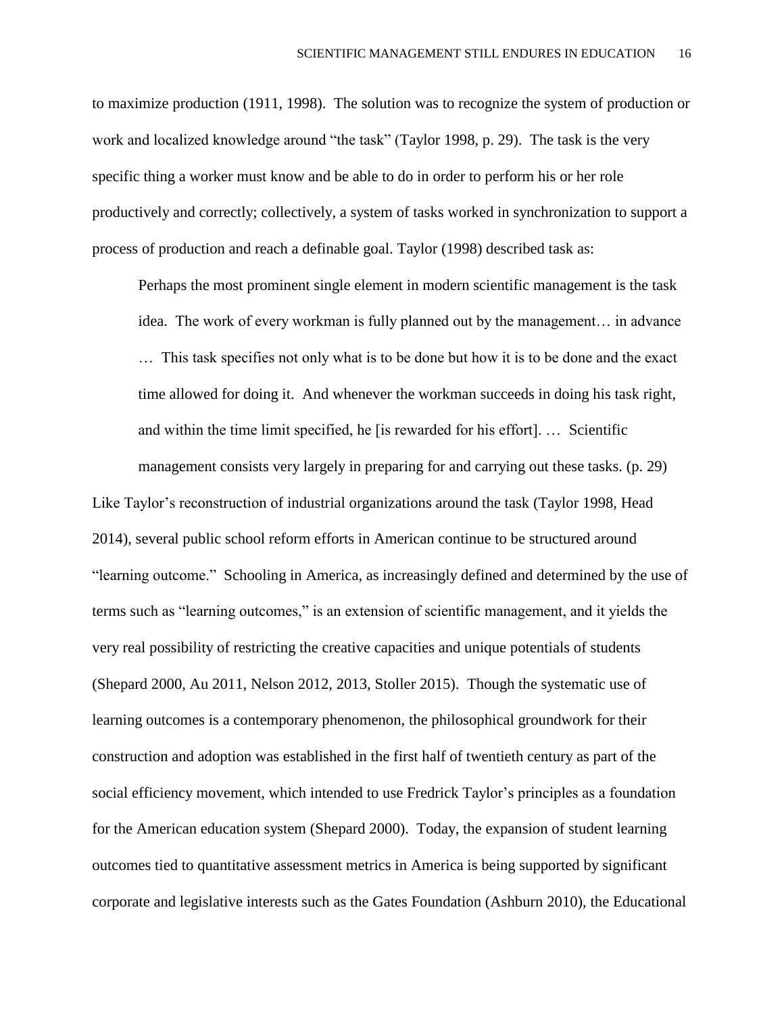to maximize production (1911, 1998). The solution was to recognize the system of production or work and localized knowledge around "the task" (Taylor 1998, p. 29). The task is the very specific thing a worker must know and be able to do in order to perform his or her role productively and correctly; collectively, a system of tasks worked in synchronization to support a process of production and reach a definable goal. Taylor (1998) described task as:

Perhaps the most prominent single element in modern scientific management is the task idea. The work of every workman is fully planned out by the management… in advance … This task specifies not only what is to be done but how it is to be done and the exact time allowed for doing it. And whenever the workman succeeds in doing his task right, and within the time limit specified, he [is rewarded for his effort]. … Scientific

management consists very largely in preparing for and carrying out these tasks. (p. 29) Like Taylor's reconstruction of industrial organizations around the task (Taylor 1998, Head 2014), several public school reform efforts in American continue to be structured around "learning outcome." Schooling in America, as increasingly defined and determined by the use of terms such as "learning outcomes," is an extension of scientific management, and it yields the very real possibility of restricting the creative capacities and unique potentials of students (Shepard 2000, Au 2011, Nelson 2012, 2013, Stoller 2015). Though the systematic use of learning outcomes is a contemporary phenomenon, the philosophical groundwork for their construction and adoption was established in the first half of twentieth century as part of the social efficiency movement, which intended to use Fredrick Taylor's principles as a foundation for the American education system (Shepard 2000). Today, the expansion of student learning outcomes tied to quantitative assessment metrics in America is being supported by significant corporate and legislative interests such as the Gates Foundation (Ashburn 2010), the Educational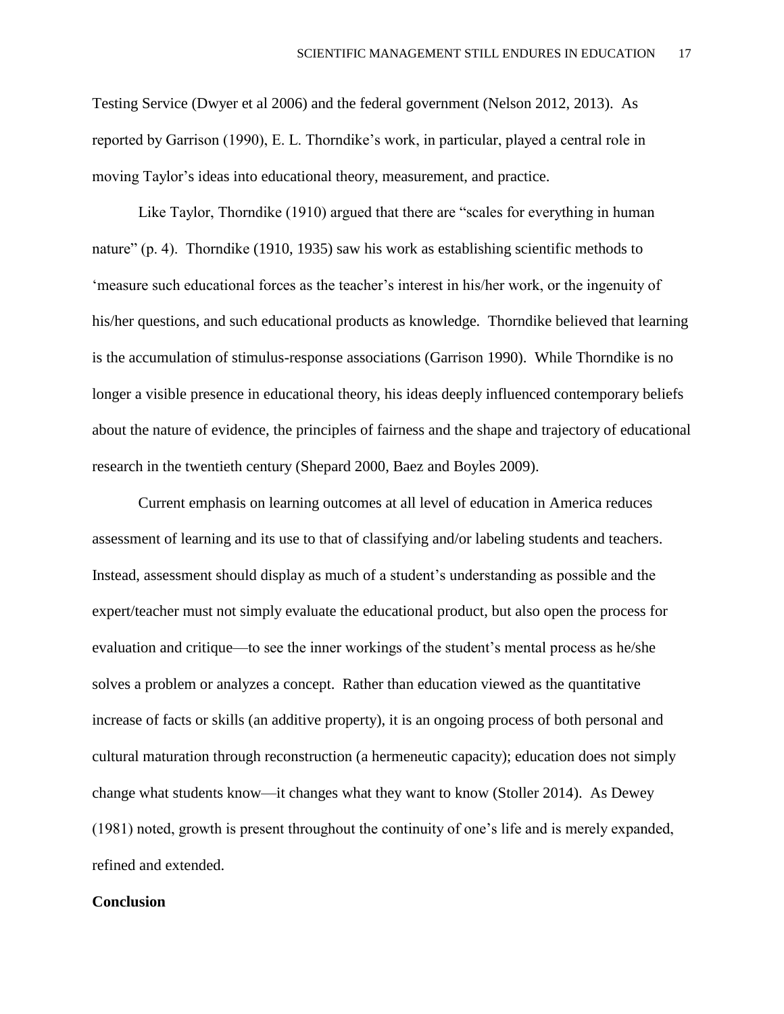Testing Service (Dwyer et al 2006) and the federal government (Nelson 2012, 2013). As reported by Garrison (1990), E. L. Thorndike's work, in particular, played a central role in moving Taylor's ideas into educational theory, measurement, and practice.

Like Taylor, Thorndike (1910) argued that there are "scales for everything in human nature" (p. 4). Thorndike (1910, 1935) saw his work as establishing scientific methods to 'measure such educational forces as the teacher's interest in his/her work, or the ingenuity of his/her questions, and such educational products as knowledge. Thorndike believed that learning is the accumulation of stimulus-response associations (Garrison 1990). While Thorndike is no longer a visible presence in educational theory, his ideas deeply influenced contemporary beliefs about the nature of evidence, the principles of fairness and the shape and trajectory of educational research in the twentieth century (Shepard 2000, Baez and Boyles 2009).

Current emphasis on learning outcomes at all level of education in America reduces assessment of learning and its use to that of classifying and/or labeling students and teachers. Instead, assessment should display as much of a student's understanding as possible and the expert/teacher must not simply evaluate the educational product, but also open the process for evaluation and critique—to see the inner workings of the student's mental process as he/she solves a problem or analyzes a concept. Rather than education viewed as the quantitative increase of facts or skills (an additive property), it is an ongoing process of both personal and cultural maturation through reconstruction (a hermeneutic capacity); education does not simply change what students know—it changes what they want to know (Stoller 2014). As Dewey (1981) noted, growth is present throughout the continuity of one's life and is merely expanded, refined and extended.

### **Conclusion**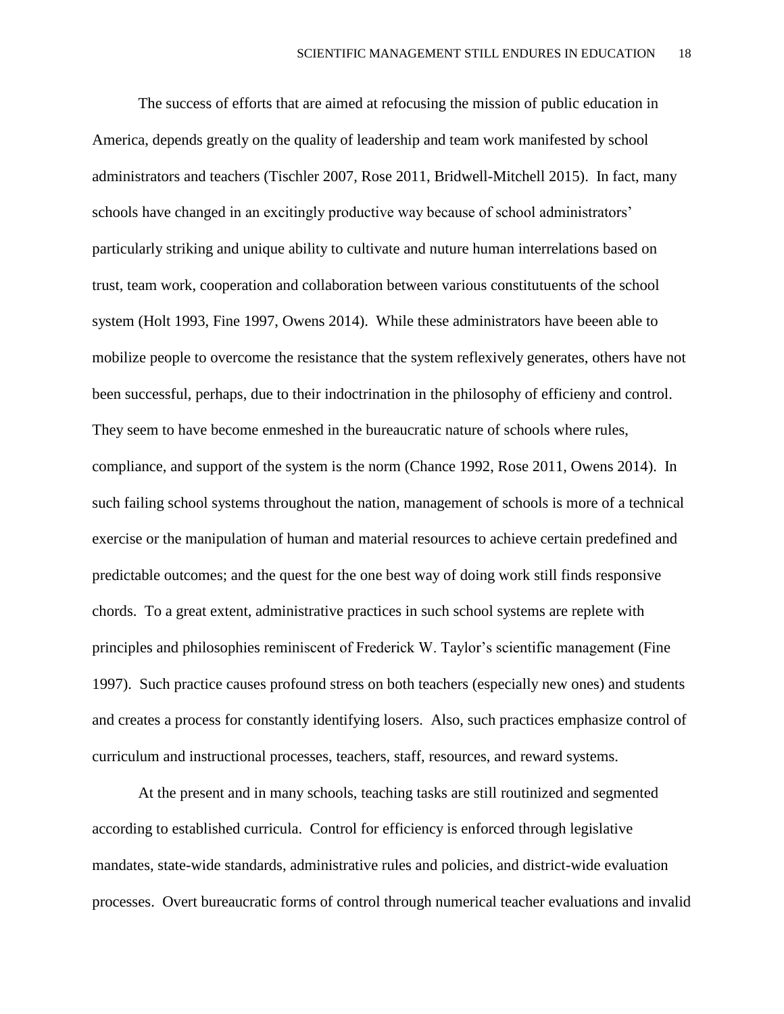The success of efforts that are aimed at refocusing the mission of public education in America, depends greatly on the quality of leadership and team work manifested by school administrators and teachers (Tischler 2007, Rose 2011, Bridwell-Mitchell 2015). In fact, many schools have changed in an excitingly productive way because of school administrators' particularly striking and unique ability to cultivate and nuture human interrelations based on trust, team work, cooperation and collaboration between various constitutuents of the school system (Holt 1993, Fine 1997, Owens 2014). While these administrators have beeen able to mobilize people to overcome the resistance that the system reflexively generates, others have not been successful, perhaps, due to their indoctrination in the philosophy of efficieny and control. They seem to have become enmeshed in the bureaucratic nature of schools where rules, compliance, and support of the system is the norm (Chance 1992, Rose 2011, Owens 2014). In such failing school systems throughout the nation, management of schools is more of a technical exercise or the manipulation of human and material resources to achieve certain predefined and predictable outcomes; and the quest for the one best way of doing work still finds responsive chords. To a great extent, administrative practices in such school systems are replete with principles and philosophies reminiscent of Frederick W. Taylor's scientific management (Fine 1997). Such practice causes profound stress on both teachers (especially new ones) and students and creates a process for constantly identifying losers. Also, such practices emphasize control of curriculum and instructional processes, teachers, staff, resources, and reward systems.

At the present and in many schools, teaching tasks are still routinized and segmented according to established curricula. Control for efficiency is enforced through legislative mandates, state-wide standards, administrative rules and policies, and district-wide evaluation processes. Overt bureaucratic forms of control through numerical teacher evaluations and invalid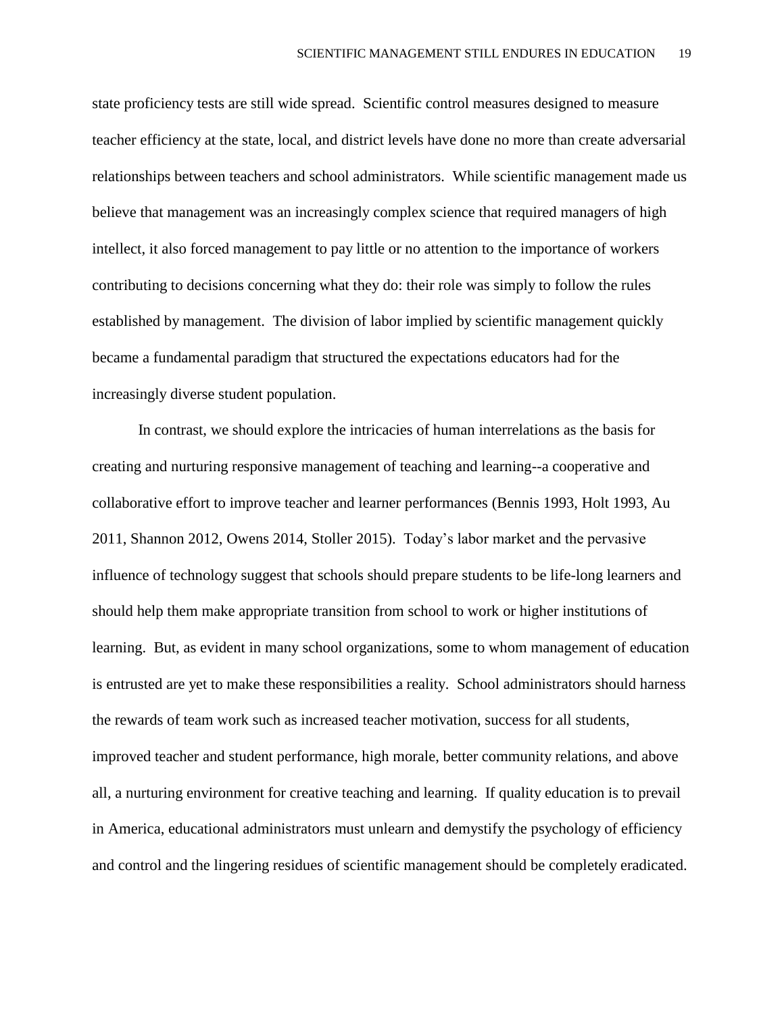state proficiency tests are still wide spread. Scientific control measures designed to measure teacher efficiency at the state, local, and district levels have done no more than create adversarial relationships between teachers and school administrators. While scientific management made us believe that management was an increasingly complex science that required managers of high intellect, it also forced management to pay little or no attention to the importance of workers contributing to decisions concerning what they do: their role was simply to follow the rules established by management. The division of labor implied by scientific management quickly became a fundamental paradigm that structured the expectations educators had for the increasingly diverse student population.

In contrast, we should explore the intricacies of human interrelations as the basis for creating and nurturing responsive management of teaching and learning--a cooperative and collaborative effort to improve teacher and learner performances (Bennis 1993, Holt 1993, Au 2011, Shannon 2012, Owens 2014, Stoller 2015). Today's labor market and the pervasive influence of technology suggest that schools should prepare students to be life-long learners and should help them make appropriate transition from school to work or higher institutions of learning. But, as evident in many school organizations, some to whom management of education is entrusted are yet to make these responsibilities a reality. School administrators should harness the rewards of team work such as increased teacher motivation, success for all students, improved teacher and student performance, high morale, better community relations, and above all, a nurturing environment for creative teaching and learning. If quality education is to prevail in America, educational administrators must unlearn and demystify the psychology of efficiency and control and the lingering residues of scientific management should be completely eradicated.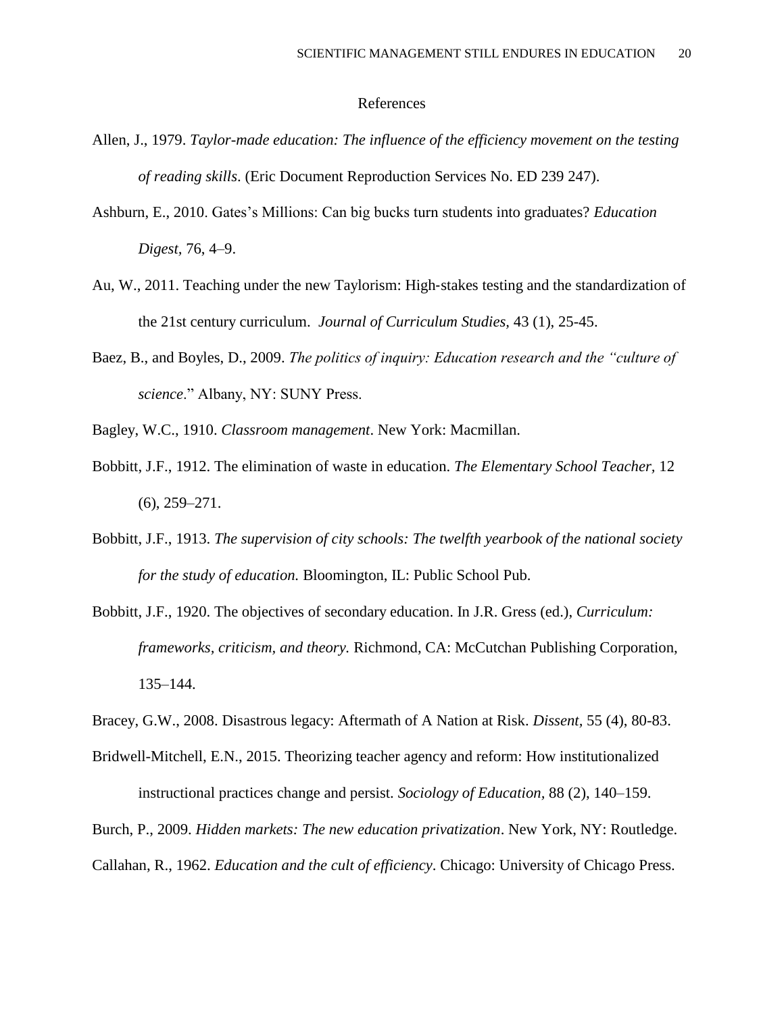### References

- Allen, J., 1979. *Taylor-made education: The influence of the efficiency movement on the testing of reading skills*. (Eric Document Reproduction Services No. ED 239 247).
- Ashburn, E., 2010. Gates's Millions: Can big bucks turn students into graduates? *Education Digest,* 76, 4–9.
- Au, W., 2011. Teaching under the new Taylorism: High‐stakes testing and the standardization of the 21st century curriculum. *Journal of Curriculum Studies,* 43 (1), 25-45.
- Baez, B., and Boyles, D., 2009. *The politics of inquiry: Education research and the "culture of science*." Albany, NY: SUNY Press.
- Bagley, W.C., 1910. *Classroom management*. New York: Macmillan.
- Bobbitt, J.F., 1912. The elimination of waste in education. *The Elementary School Teacher,* 12 (6), 259–271.
- Bobbitt, J.F., 1913. *The supervision of city schools: The twelfth yearbook of the national society for the study of education.* Bloomington, IL: Public School Pub.
- Bobbitt, J.F., 1920. The objectives of secondary education. In J.R. Gress (ed.), *Curriculum: frameworks, criticism, and theory.* Richmond, CA: McCutchan Publishing Corporation, 135–144.
- Bracey, G.W., 2008. Disastrous legacy: Aftermath of A Nation at Risk. *Dissent,* 55 (4), 80-83.
- Bridwell-Mitchell, E.N., 2015. Theorizing teacher agency and reform: How institutionalized instructional practices change and persist. *Sociology of Education,* 88 (2), 140–159.
- Burch, P., 2009. *Hidden markets: The new education privatization*. New York, NY: Routledge.

Callahan, R., 1962. *Education and the cult of efficiency*. Chicago: University of Chicago Press.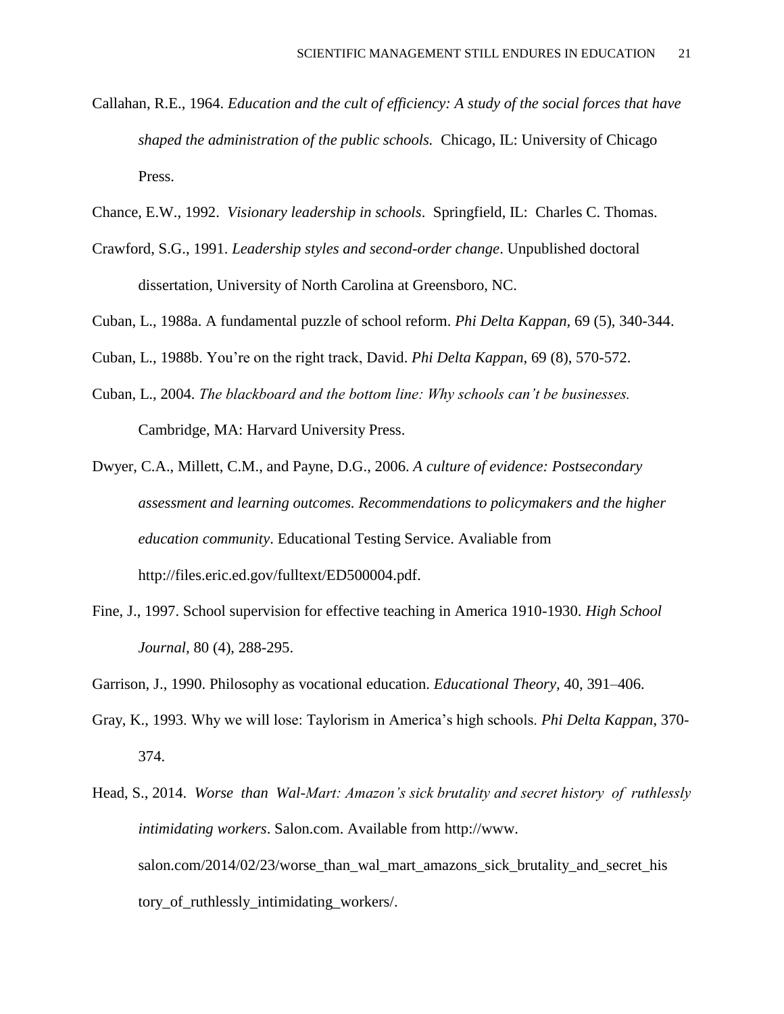- Callahan, R.E., 1964. *Education and the cult of efficiency: A study of the social forces that have shaped the administration of the public schools.* Chicago, IL: University of Chicago Press.
- Chance, E.W., 1992. *Visionary leadership in schools*. Springfield, IL: Charles C. Thomas.
- Crawford, S.G., 1991. *Leadership styles and second-order change*. Unpublished doctoral dissertation, University of North Carolina at Greensboro, NC.
- Cuban, L., 1988a. A fundamental puzzle of school reform. *Phi Delta Kappan,* 69 (5), 340-344.

Cuban, L., 1988b. You're on the right track, David. *Phi Delta Kappan,* 69 (8), 570-572.

- Cuban, L., 2004. *The blackboard and the bottom line: Why schools can't be businesses.*  Cambridge, MA: Harvard University Press.
- Dwyer, C.A., Millett, C.M., and Payne, D.G., 2006. *A culture of evidence: Postsecondary assessment and learning outcomes. Recommendations to policymakers and the higher education community*. Educational Testing Service. Avaliable from [http://files.eric.ed.gov/fulltext/ED500004.pdf.](http://files.eric.ed.gov/fulltext/ED500004.pdf)
- Fine, J., 1997. School supervision for effective teaching in America 1910-1930. *High School Journal,* 80 (4), 288-295.
- Garrison, J., 1990. Philosophy as vocational education. *Educational Theory,* 40, 391–406.
- Gray, K., 1993. Why we will lose: Taylorism in America's high schools. *Phi Delta Kappan*, 370- 374.
- Head, S., 2014. *Worse than Wal-Mart: Amazon's sick brutality and secret history of ruthlessly intimidating workers*. Salon.com. Available from [http://www.](http://www.salon.com/2014/02/23/worse_than_wal_mart_amazons_sick_brutality_and_secret_history_of_ruthlessly_intimidating_workers/) [salon.com/2014/02/23/worse\\_than\\_wal\\_mart\\_amazons\\_sick\\_brutality\\_and\\_secret\\_his](http://www.salon.com/2014/02/23/worse_than_wal_mart_amazons_sick_brutality_and_secret_history_of_ruthlessly_intimidating_workers/) tory of ruthlessly intimidating workers/.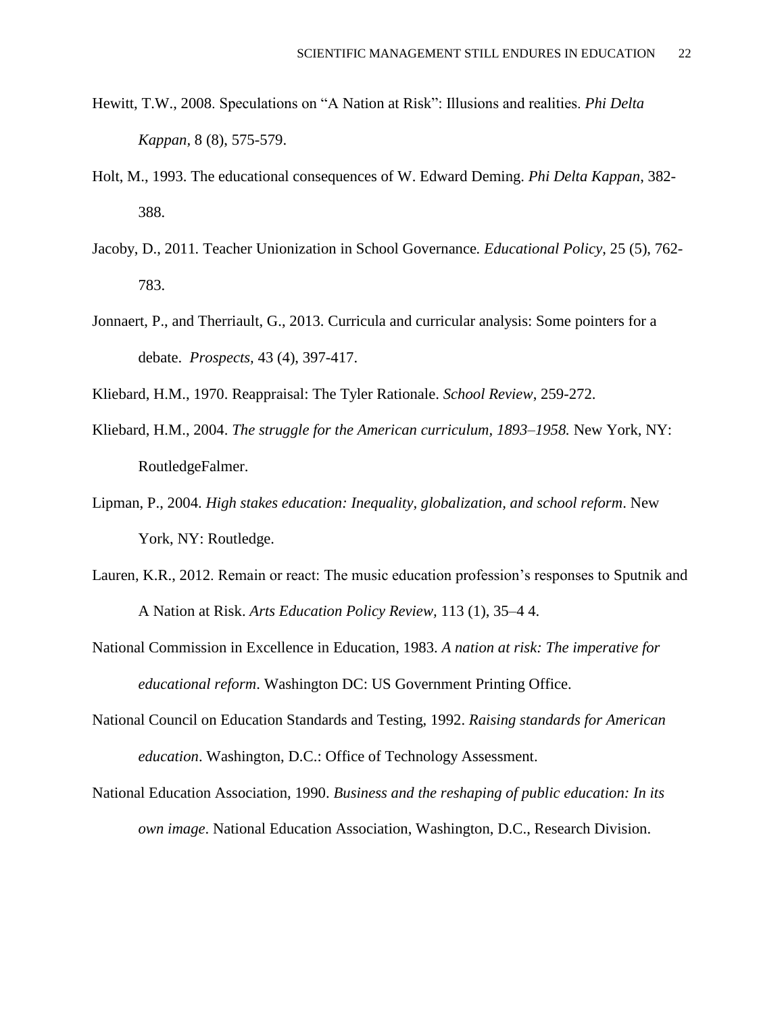- Hewitt, T.W., 2008. Speculations on "A Nation at Risk": Illusions and realities. *Phi Delta Kappan,* 8 (8), 575-579.
- Holt, M., 1993. The educational consequences of W. Edward Deming. *Phi Delta Kappan*, 382- 388.
- Jacoby, D., 2011*.* Teacher Unionization in School Governance*. Educational Policy*, 25 (5), 762- 783.
- Jonnaert, P., and Therriault, G., 2013. Curricula and curricular analysis: Some pointers for a debate. *Prospects,* 43 (4), 397-417.
- Kliebard, H.M., 1970. Reappraisal: The Tyler Rationale. *School Review*, 259-272.
- Kliebard, H.M., 2004. *The struggle for the American curriculum, 1893–1958.* New York, NY: RoutledgeFalmer.
- Lipman, P., 2004. *High stakes education: Inequality, globalization, and school reform*. New York, NY: Routledge.
- Lauren, K.R., 2012. Remain or react: The music education profession's responses to Sputnik and A Nation at Risk. *Arts Education Policy Review,* 113 (1), 35–4 4.
- National Commission in Excellence in Education, 1983. *A nation at risk: The imperative for educational reform*. Washington DC: US Government Printing Office.
- National Council on Education Standards and Testing, 1992. *Raising standards for American education*. Washington, D.C.: Office of Technology Assessment.
- National Education Association, 1990. *Business and the reshaping of public education: In its own image*. National Education Association, Washington, D.C., Research Division.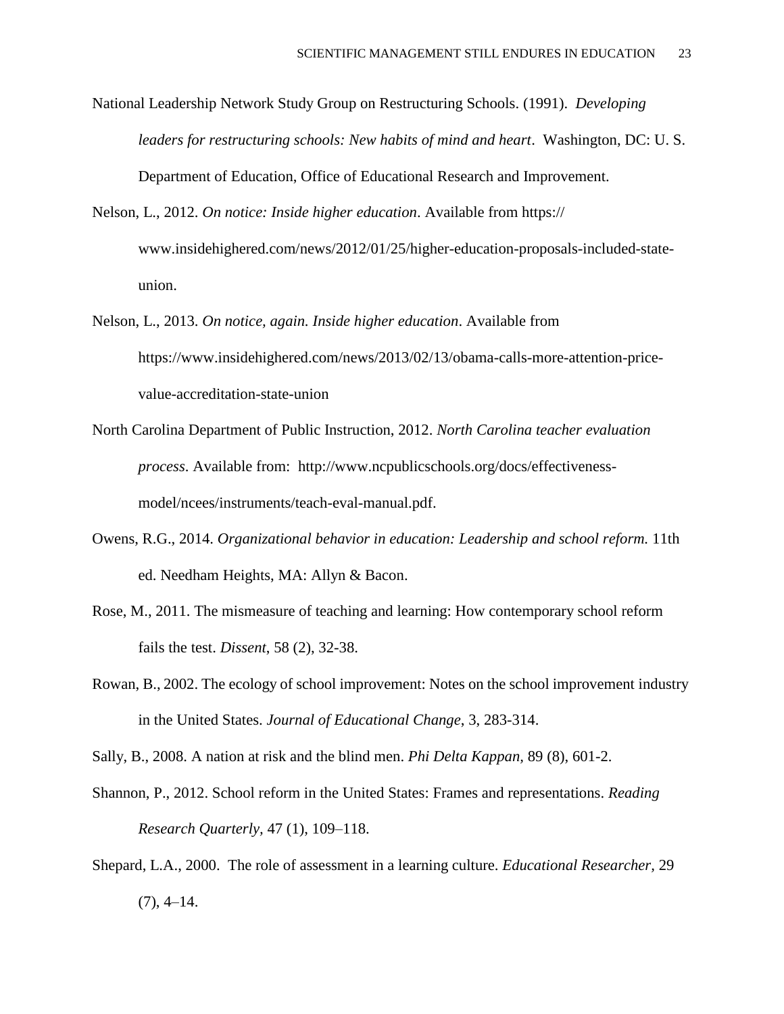National Leadership Network Study Group on Restructuring Schools. (1991). *Developing leaders for restructuring schools: New habits of mind and heart*. Washington, DC: U. S. Department of Education, Office of Educational Research and Improvement.

Nelson, L., 2012. *On notice: Inside higher education*. Available from [https://](https://www.insidehighered.com/news/2012/01/25/higher-education-proposals-included-state-union) [www.insidehighered.com/news/2012/01/25/higher-education-proposals-included-state](https://www.insidehighered.com/news/2012/01/25/higher-education-proposals-included-state-union)[union.](https://www.insidehighered.com/news/2012/01/25/higher-education-proposals-included-state-union)

- Nelson, L., 2013. *On notice, again. Inside higher education*. Available from [https://www.insidehighered.com/news/2013/02/13/obama-calls-more-attention-price](https://www.insidehighered.com/news/2013/02/13/obama-calls-more-attention-price-value-accreditation-state-union)[value-accreditation-state-union](https://www.insidehighered.com/news/2013/02/13/obama-calls-more-attention-price-value-accreditation-state-union)
- North Carolina Department of Public Instruction, 2012. *North Carolina teacher evaluation process*. Available from: [http://www.ncpublicschools.org/docs/effectiveness](http://www.ncpublicschools.org/docs/effectiveness-model/ncees/instruments/teach-eval-manual.pdf)[model/ncees/instruments/teach-eval-manual.pdf.](http://www.ncpublicschools.org/docs/effectiveness-model/ncees/instruments/teach-eval-manual.pdf)
- Owens, R.G., 2014. *Organizational behavior in education: Leadership and school reform.* 11th ed. Needham Heights, MA: Allyn & Bacon.
- Rose, M., 2011. The mismeasure of teaching and learning: How contemporary school reform fails the test. *Dissent*, 58 (2), 32-38.
- Rowan, B., 2002. The ecology of school improvement: Notes on the school improvement industry in the United States. *Journal of Educational Change*, 3, 283-314.

Sally, B., 2008. A nation at risk and the blind men. *Phi Delta Kappan,* 89 (8), 601-2.

- Shannon, P., 2012. School reform in the United States: Frames and representations. *Reading Research Quarterly,* 47 (1), 109–118.
- Shepard, L.A., 2000. The role of assessment in a learning culture. *Educational Researcher,* 29  $(7), 4-14.$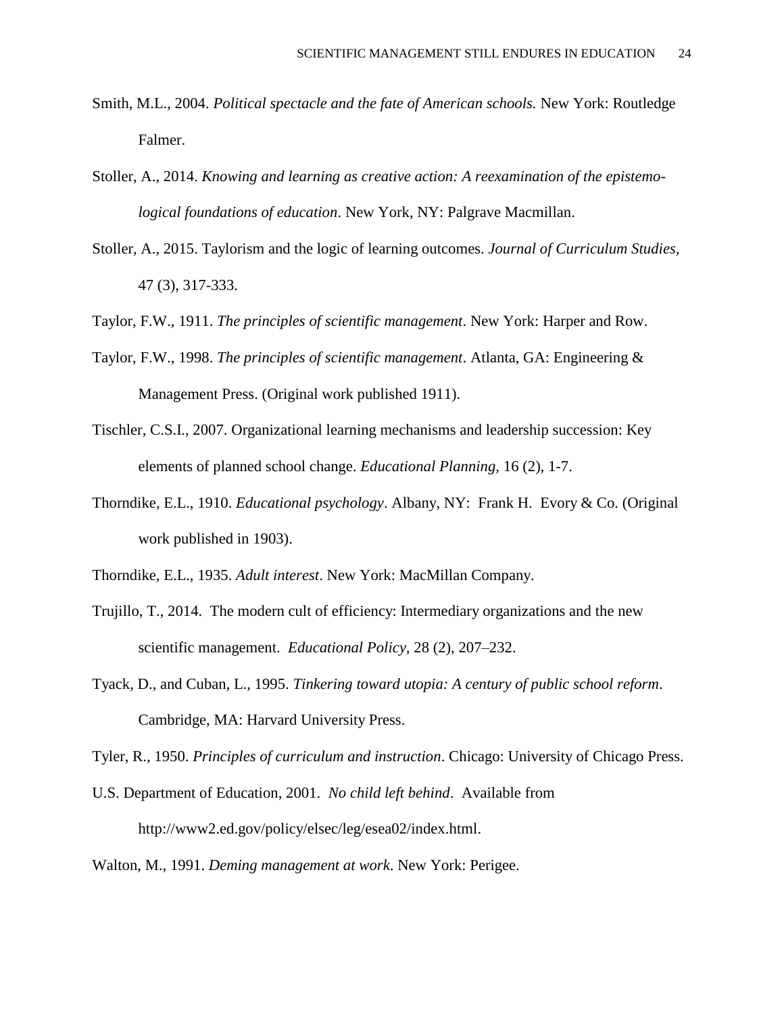- Smith, M.L., 2004. *Political spectacle and the fate of American schools.* New York: Routledge Falmer.
- Stoller, A., 2014. *Knowing and learning as creative action: A reexamination of the epistemological foundations of education*. New York, NY: Palgrave Macmillan.
- Stoller, A., 2015. Taylorism and the logic of learning outcomes. *Journal of Curriculum Studies,*  47 (3), 317-333.
- Taylor, F.W., 1911. *The principles of scientific management*. New York: Harper and Row.
- Taylor, F.W., 1998. *The principles of scientific management*. Atlanta, GA: Engineering & Management Press. (Original work published 1911).
- Tischler, C.S.I., 2007. Organizational learning mechanisms and leadership succession: Key elements of planned school change. *Educational Planning,* 16 (2), 1-7.
- Thorndike, E.L., 1910. *Educational psychology*. Albany, NY: Frank H. Evory & Co. (Original work published in 1903).
- Thorndike, E.L., 1935. *Adult interest*. New York: MacMillan Company.
- Trujillo, T., 2014. The modern cult of efficiency: Intermediary organizations and the new scientific management. *Educational Policy,* 28 (2), 207–232.
- Tyack, D., and Cuban, L., 1995. *Tinkering toward utopia: A century of public school reform*. Cambridge, MA: Harvard University Press.

Tyler, R., 1950. *Principles of curriculum and instruction*. Chicago: University of Chicago Press.

U.S. Department of Education, 2001. *No child left behind*. Available from [http://www2.ed.gov/policy/elsec/leg/esea02/index.html.](http://www2.ed.gov/policy/elsec/leg/esea02/index.html)

Walton, M., 1991. *Deming management at work*. New York: Perigee.